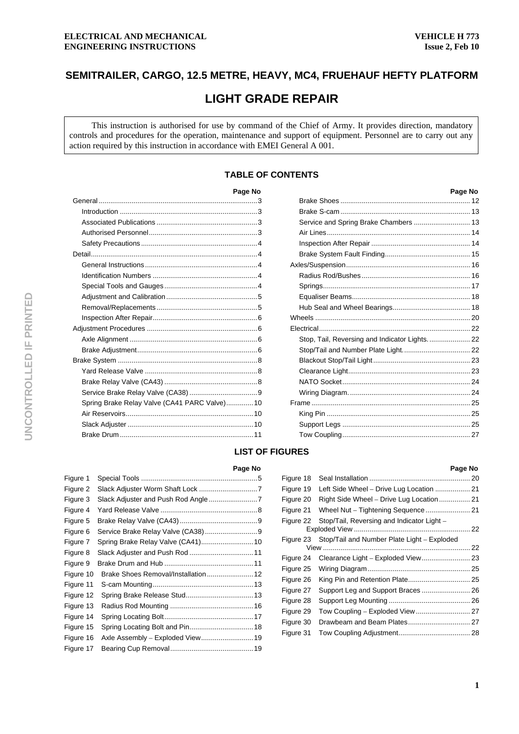# **SEMITRAILER, CARGO, 12.5 METRE, HEAVY, MC4, FRUEHAUF HEFTY PLATFORM**

# **LIGHT GRADE REPAIR**

This instruction is authorised for use by command of the Chief of Army. It provides direction, mandatory controls and procedures for the operation, maintenance and support of equipment. Personnel are to carry out any action required by this instruction in accordance with EMEI General A 001.

# **TABLE OF CONTENTS**

|                                               | Page No |
|-----------------------------------------------|---------|
|                                               |         |
|                                               |         |
|                                               |         |
|                                               |         |
|                                               |         |
|                                               |         |
|                                               |         |
|                                               |         |
|                                               |         |
|                                               |         |
|                                               |         |
|                                               |         |
|                                               |         |
|                                               |         |
|                                               |         |
|                                               |         |
|                                               |         |
|                                               |         |
|                                               |         |
| Spring Brake Relay Valve (CA41 PARC Valve) 10 |         |
|                                               |         |
|                                               |         |
|                                               |         |
|                                               |         |

| Page No  |                                               | Page No |
|----------|-----------------------------------------------|---------|
| . 3      |                                               |         |
| . 3      |                                               |         |
| . 3      | Service and Spring Brake Chambers  13         |         |
| . 3      |                                               |         |
| . 4      |                                               |         |
| . 4      |                                               |         |
| . 4      |                                               |         |
| . 4      |                                               |         |
| . 4      |                                               |         |
| . 5      |                                               |         |
| . 5      |                                               |         |
| . 6      |                                               |         |
| . 6      |                                               |         |
| . 6      | Stop, Tail, Reversing and Indicator Lights 22 |         |
| . 6      |                                               |         |
| $\sim$ 8 |                                               |         |
| . 8      |                                               |         |
| . 8      |                                               |         |
| . 9      |                                               |         |
| . 10     |                                               |         |
| . 10     |                                               |         |
| . 10     |                                               |         |
| . 11     |                                               |         |
|          |                                               |         |

# **LIST OF FIGURES**

#### Figure 1 Special Tools ............................................................5 Figure 2 Slack Adjuster Worm Shaft Lock ..............................7 Figure 3 Slack Adjuster and Push Rod Angle .........................7 Figure 4 Yard Release Valve ..................................................8 Figure 5 Brake Relay Valve (CA43) ........................................9 Figure 6 Service Brake Relay Valve (CA38) ...........................9 Figure 7 Spring Brake Relay Valve (CA41)...........................10 Figure 8 Slack Adjuster and Push Rod .................................11 Figure 9 Brake Drum and Hub ..............................................11 Figure 10 Brake Shoes Removal/Installation........................12 Figure 11 S-cam Mounting....................................................13 Figure 12 Spring Brake Release Stud...................................13 Figure 13 Radius Rod Mounting ...........................................16 Figure 14 Spring Locating Bolt..............................................17 Figure 15 Spring Locating Bolt and Pin.................................18 Figure 16 Axle Assembly – Exploded View...........................19 Figure 17 Bearing Cup Removal...........................................19

| Page No    |           |                                                       | Page No |
|------------|-----------|-------------------------------------------------------|---------|
| 5          | Figure 18 |                                                       |         |
| . 7        | Figure 19 |                                                       |         |
| 7          | Figure 20 | Right Side Wheel - Drive Lug Location  21             |         |
| . 8        | Figure 21 |                                                       |         |
| . 9<br>. 9 | Figure 22 | Stop/Tail, Reversing and Indicator Light -            |         |
| . 10       |           | Figure 23 Stop/Tail and Number Plate Light - Exploded | 22      |
| . 11       | Figure 24 | Clearance Light - Exploded View 23                    |         |
| 11         | Figure 25 |                                                       |         |
| 12         | Figure 26 | King Pin and Retention Plate 25                       |         |
| . 13       | Figure 27 | Support Leg and Support Braces  26                    |         |
| 13         | Figure 28 |                                                       |         |
| 16         | Figure 29 | Tow Coupling - Exploded View  27                      |         |
| . 17       | Figure 30 |                                                       |         |
| 18<br>19   | Figure 31 |                                                       |         |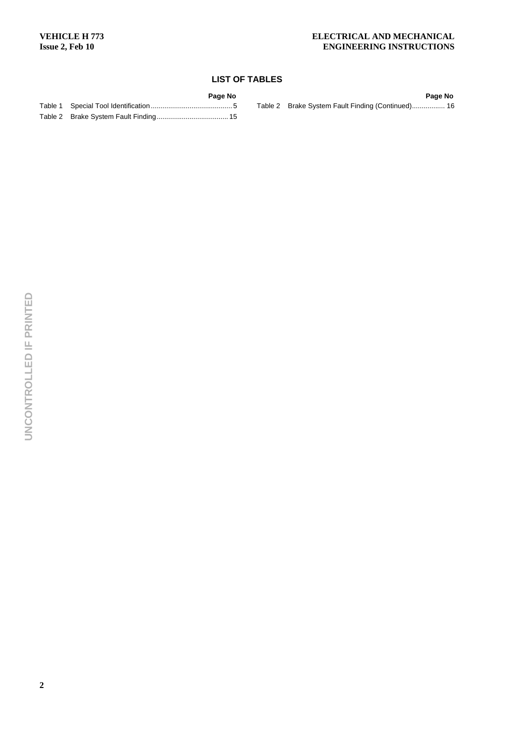# **LIST OF TABLES**

| Page No | Page No                                           |
|---------|---------------------------------------------------|
|         | Table 2 Brake System Fault Finding (Continued) 16 |
|         |                                                   |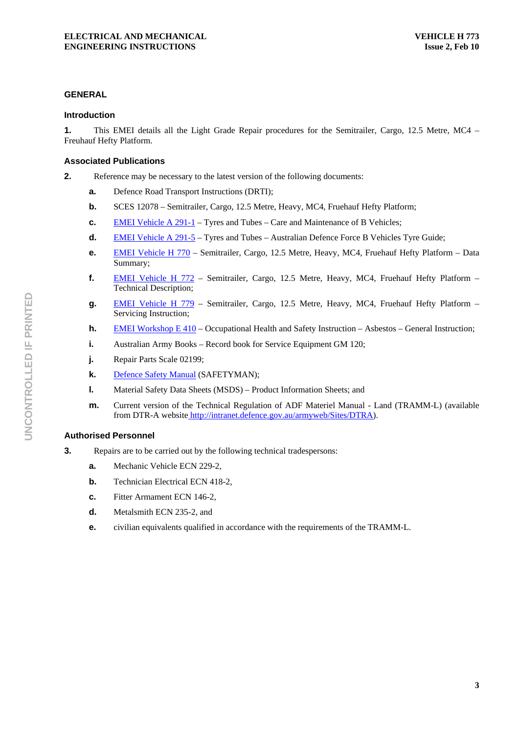#### **GENERAL**

#### **Introduction**

**1.** This EMEI details all the Light Grade Repair procedures for the Semitrailer, Cargo, 12.5 Metre, MC4 – Freuhauf Hefty Platform.

#### **Associated Publications**

**2.** Reference may be necessary to the latest version of the following documents:

- **a.** Defence Road Transport Instructions (DRTI);
- **b.** SCES 12078 Semitrailer, Cargo, 12.5 Metre, Heavy, MC4, Fruehauf Hefty Platform;
- **c. EMEI Vehicle A 291-1** Tyres and Tubes Care and Maintenance of B Vehicles;
- **d.** EMEI Vehicle A 291-5 Tyres and Tubes Australian Defence Force B Vehicles Tyre Guide;
- **e.** EMEI Vehicle H 770 Semitrailer, Cargo, 12.5 Metre, Heavy, MC4, Fruehauf Hefty Platform Data Summary;
- **f.** EMEI Vehicle H 772 Semitrailer, Cargo, 12.5 Metre, Heavy, MC4, Fruehauf Hefty Platform Technical Description;
- **g.** EMEI Vehicle H 779 Semitrailer, Cargo, 12.5 Metre, Heavy, MC4, Fruehauf Hefty Platform Servicing Instruction;
- **h. EMEI Workshop E 410 Occupational Health and Safety Instruction Asbestos General Instruction;**
- **i.** Australian Army Books Record book for Service Equipment GM 120;
- **j.** Repair Parts Scale 02199;
- **k.** Defence Safety Manual (SAFETYMAN);
- **l.** Material Safety Data Sheets (MSDS) Product Information Sheets; and
- **m.** Current version of the Technical Regulation of ADF Materiel Manual Land (TRAMM-L) (available from DTR-A website http://intranet.defence.gov.au/armyweb/Sites/DTRA).

# **Authorised Personnel**

- **3.** Repairs are to be carried out by the following technical tradespersons:
	- **a.** Mechanic Vehicle ECN 229-2,
	- **b. Technician Electrical ECN 418-2,**
	- **c.** Fitter Armament ECN 146-2,
	- **d.** Metalsmith ECN 235-2, and
	- **e.** civilian equivalents qualified in accordance with the requirements of the TRAMM-L.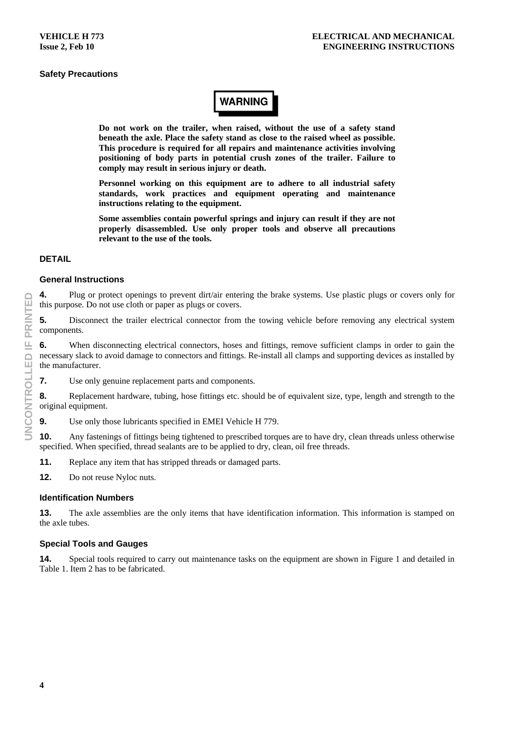# **Safety Precautions**

# **WARNING**

**Do not work on the trailer, when raised, without the use of a safety stand beneath the axle. Place the safety stand as close to the raised wheel as possible. This procedure is required for all repairs and maintenance activities involving positioning of body parts in potential crush zones of the trailer. Failure to comply may result in serious injury or death.** 

**Personnel working on this equipment are to adhere to all industrial safety standards, work practices and equipment operating and maintenance instructions relating to the equipment.** 

**Some assemblies contain powerful springs and injury can result if they are not properly disassembled. Use only proper tools and observe all precautions relevant to the use of the tools.** 

#### **DETAIL**

#### **General Instructions**

**4.** Plug or protect openings to prevent dirt/air entering the brake systems. Use plastic plugs or covers only for this purpose. Do not use cloth or paper as plugs or covers.

**5.** Disconnect the trailer electrical connector from the towing vehicle before removing any electrical system components.

**6.** When disconnecting electrical connectors, hoses and fittings, remove sufficient clamps in order to gain the necessary slack to avoid damage to connectors and fittings. Re-install all clamps and supporting devices as installed by the manufacturer.

**7.** Use only genuine replacement parts and components.

**8.** Replacement hardware, tubing, hose fittings etc. should be of equivalent size, type, length and strength to the original equipment.

**9.** Use only those lubricants specified in EMEI Vehicle H 779.

**10.** Any fastenings of fittings being tightened to prescribed torques are to have dry, clean threads unless otherwise specified. When specified, thread sealants are to be applied to dry, clean, oil free threads.

**11.** Replace any item that has stripped threads or damaged parts.

**12.** Do not reuse Nyloc nuts.

#### **Identification Numbers**

**13.** The axle assemblies are the only items that have identification information. This information is stamped on the axle tubes.

#### **Special Tools and Gauges**

**14.** Special tools required to carry out maintenance tasks on the equipment are shown in Figure 1 and detailed in Table 1. Item 2 has to be fabricated.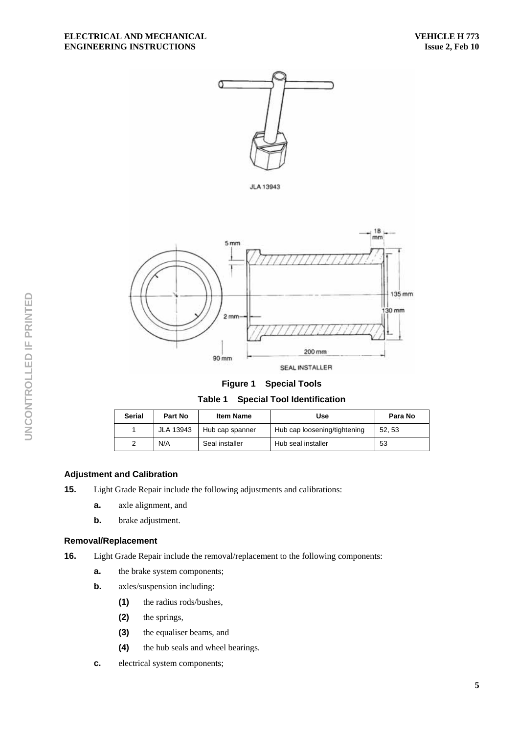

**JLA 13943** 



**Figure 1 Special Tools Table 1 Special Tool Identification** 

| <b>Serial</b> | Part No          | <b>Item Name</b> | Use                          | Para No |
|---------------|------------------|------------------|------------------------------|---------|
|               | <b>JLA 13943</b> | Hub cap spanner  | Hub cap loosening/tightening | 52.53   |
| 2             | N/A              | Seal installer   | Hub seal installer           | 53      |

# **Adjustment and Calibration**

- **15.** Light Grade Repair include the following adjustments and calibrations:
	- **a.** axle alignment, and
	- **b.** brake adjustment.

#### **Removal/Replacement**

- **16.** Light Grade Repair include the removal/replacement to the following components:
	- **a.** the brake system components;
	- **b.** axles/suspension including:
		- **(1)** the radius rods/bushes,
		- **(2)** the springs,
		- **(3)** the equaliser beams, and
		- **(4)** the hub seals and wheel bearings.
	- **c.** electrical system components;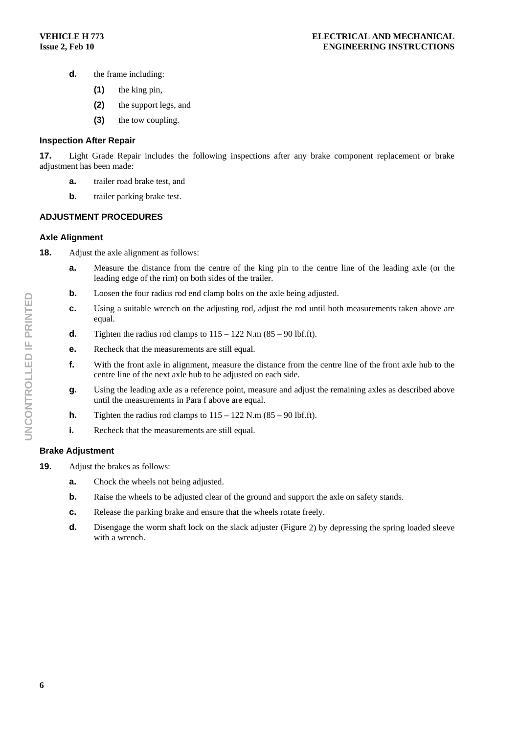- **d.** the frame including:
	- **(1)** the king pin,
	- **(2)** the support legs, and
	- **(3)** the tow coupling.

#### **Inspection After Repair**

**17.** Light Grade Repair includes the following inspections after any brake component replacement or brake adjustment has been made:

- **a.** trailer road brake test, and
- **b.** trailer parking brake test.

# **ADJUSTMENT PROCEDURES**

#### **Axle Alignment**

- **18.** Adjust the axle alignment as follows:
	- **a.** Measure the distance from the centre of the king pin to the centre line of the leading axle (or the leading edge of the rim) on both sides of the trailer.
	- **b.** Loosen the four radius rod end clamp bolts on the axle being adjusted.
	- **c.** Using a suitable wrench on the adjusting rod, adjust the rod until both measurements taken above are equal.
	- **d.** Tighten the radius rod clamps to  $115 122$  N.m  $(85 90$  lbf.ft).
	- **e.** Recheck that the measurements are still equal.
	- **f.** With the front axle in alignment, measure the distance from the centre line of the front axle hub to the centre line of the next axle hub to be adjusted on each side.
	- **g.** Using the leading axle as a reference point, measure and adjust the remaining axles as described above until the measurements in Para f above are equal.
	- **h.** Tighten the radius rod clamps to  $115 122$  N.m  $(85 90$  lbf.ft).
	- **i.** Recheck that the measurements are still equal.

# **Brake Adjustment**

- **19.** Adjust the brakes as follows:
	- **a.** Chock the wheels not being adjusted.
	- **b.** Raise the wheels to be adjusted clear of the ground and support the axle on safety stands.
	- **c.** Release the parking brake and ensure that the wheels rotate freely.
	- **d.** Disengage the worm shaft lock on the slack adjuster (Figure 2) by depressing the spring loaded sleeve with a wrench.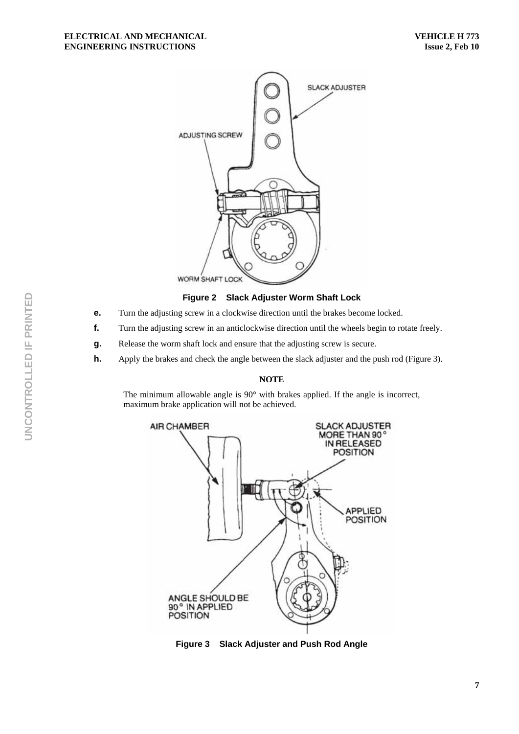

**Figure 2 Slack Adjuster Worm Shaft Lock** 

- **e.** Turn the adjusting screw in a clockwise direction until the brakes become locked.
- **f.** Turn the adjusting screw in an anticlockwise direction until the wheels begin to rotate freely.
- **g.** Release the worm shaft lock and ensure that the adjusting screw is secure.
- **h.** Apply the brakes and check the angle between the slack adjuster and the push rod (Figure 3).

#### **NOTE**

The minimum allowable angle is 90° with brakes applied. If the angle is incorrect, maximum brake application will not be achieved.



**Figure 3 Slack Adjuster and Push Rod Angle**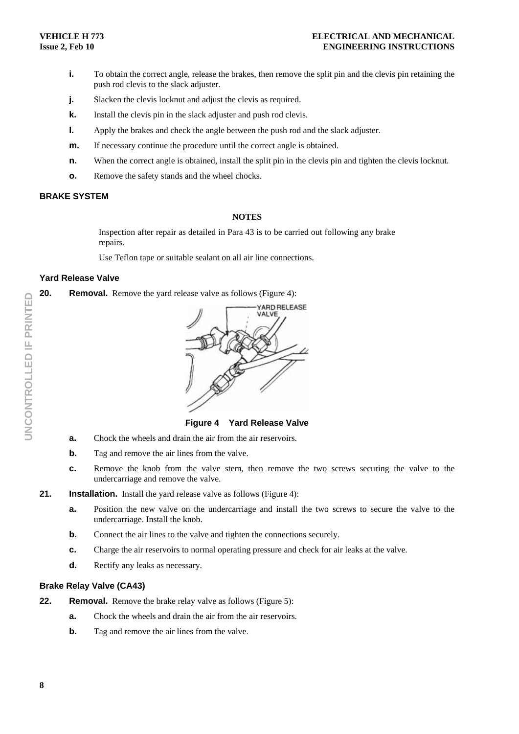- **i.** To obtain the correct angle, release the brakes, then remove the split pin and the clevis pin retaining the push rod clevis to the slack adjuster.
- **j.** Slacken the clevis locknut and adjust the clevis as required.
- **k.** Install the clevis pin in the slack adjuster and push rod clevis.
- **l.** Apply the brakes and check the angle between the push rod and the slack adjuster.
- **m.** If necessary continue the procedure until the correct angle is obtained.
- **n.** When the correct angle is obtained, install the split pin in the clevis pin and tighten the clevis locknut.
- **o.** Remove the safety stands and the wheel chocks.

# **BRAKE SYSTEM**

#### **NOTES**

Inspection after repair as detailed in Para 43 is to be carried out following any brake repairs.

Use Teflon tape or suitable sealant on all air line connections.

#### **Yard Release Valve**

**20.** Removal. Remove the vard release valve as follows (Figure 4):



**Figure 4 Yard Release Valve** 

- **a.** Chock the wheels and drain the air from the air reservoirs.
- **b.** Tag and remove the air lines from the valve.
- **c.** Remove the knob from the valve stem, then remove the two screws securing the valve to the undercarriage and remove the valve.

# **21.** Installation. Install the vard release valve as follows (Figure 4):

- **a.** Position the new valve on the undercarriage and install the two screws to secure the valve to the undercarriage. Install the knob.
- **b.** Connect the air lines to the valve and tighten the connections securely.
- **c.** Charge the air reservoirs to normal operating pressure and check for air leaks at the valve.
- **d.** Rectify any leaks as necessary.

#### **Brake Relay Valve (CA43)**

- **22.** Removal. Remove the brake relay valve as follows (Figure 5):
	- **a.** Chock the wheels and drain the air from the air reservoirs.
	- **b.** Tag and remove the air lines from the valve.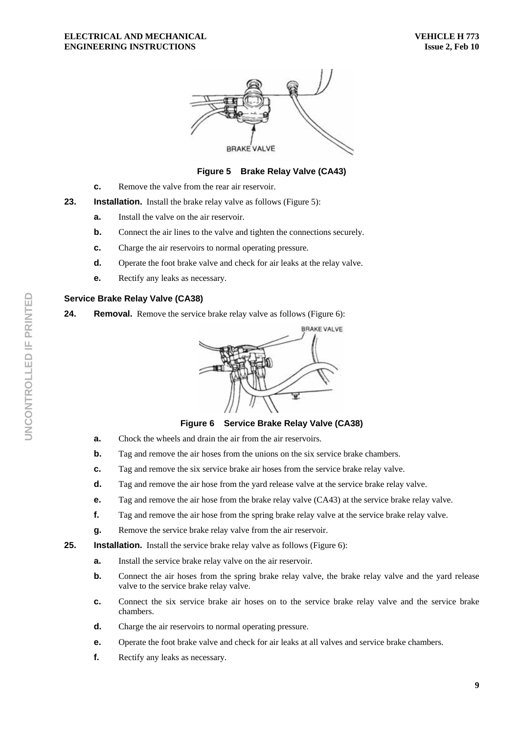#### **ELECTRICAL AND MECHANICAL ENGINEERING INSTRUCTIONS**



# **Figure 5 Brake Relay Valve (CA43)**

**c.** Remove the valve from the rear air reservoir.

**23.** Installation. Install the brake relay valve as follows (Figure 5):

- **a.** Install the valve on the air reservoir.
- **b.** Connect the air lines to the valve and tighten the connections securely.
- **c.** Charge the air reservoirs to normal operating pressure.
- **d.** Operate the foot brake valve and check for air leaks at the relay valve.
- **e.** Rectify any leaks as necessary.

#### **Service Brake Relay Valve (CA38)**

**24.** Removal. Remove the service brake relay valve as follows (Figure 6):



**Figure 6 Service Brake Relay Valve (CA38)** 

- **a.** Chock the wheels and drain the air from the air reservoirs.
- **b.** Tag and remove the air hoses from the unions on the six service brake chambers.
- **c.** Tag and remove the six service brake air hoses from the service brake relay valve.
- **d.** Tag and remove the air hose from the yard release valve at the service brake relay valve.
- **e.** Tag and remove the air hose from the brake relay valve (CA43) at the service brake relay valve.
- **f.** Tag and remove the air hose from the spring brake relay valve at the service brake relay valve.
- **g.** Remove the service brake relay valve from the air reservoir.

**25.** Installation. Install the service brake relay valve as follows (Figure 6):

- **a.** Install the service brake relay valve on the air reservoir.
- **b.** Connect the air hoses from the spring brake relay valve, the brake relay valve and the yard release valve to the service brake relay valve.
- **c.** Connect the six service brake air hoses on to the service brake relay valve and the service brake chambers.
- **d.** Charge the air reservoirs to normal operating pressure.
- **e.** Operate the foot brake valve and check for air leaks at all valves and service brake chambers.
- **f.** Rectify any leaks as necessary.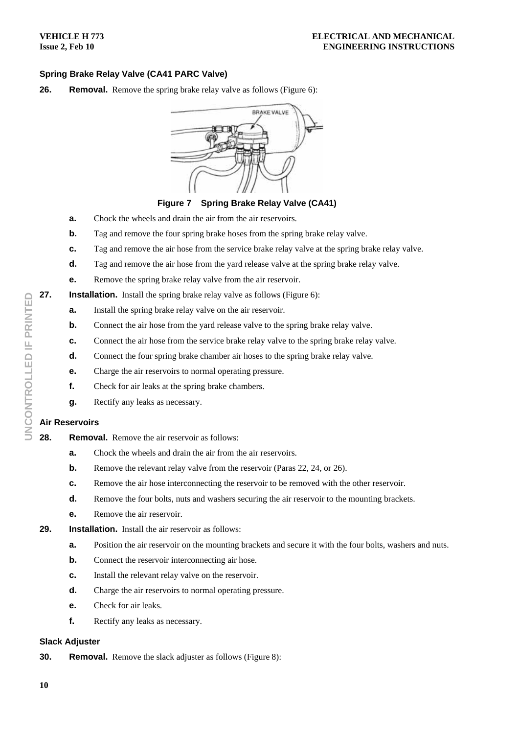# **Spring Brake Relay Valve (CA41 PARC Valve)**

**26. Removal.** Remove the spring brake relay valve as follows (Figure 6):



**Figure 7 Spring Brake Relay Valve (CA41)** 

- **a.** Chock the wheels and drain the air from the air reservoirs.
- **b.** Tag and remove the four spring brake hoses from the spring brake relay valve.
- **c.** Tag and remove the air hose from the service brake relay valve at the spring brake relay valve.
- **d.** Tag and remove the air hose from the yard release valve at the spring brake relay valve.
- **e.** Remove the spring brake relay valve from the air reservoir.
- **27.** Installation. Install the spring brake relay valve as follows (Figure 6):
	- **a.** Install the spring brake relay valve on the air reservoir.
	- **b.** Connect the air hose from the yard release valve to the spring brake relay valve.
	- **c.** Connect the air hose from the service brake relay valve to the spring brake relay valve.
	- **d.** Connect the four spring brake chamber air hoses to the spring brake relay valve.
	- **e.** Charge the air reservoirs to normal operating pressure.
	- **f.** Check for air leaks at the spring brake chambers.
	- **g.** Rectify any leaks as necessary.

# **Air Reservoirs**

- **28. Removal.** Remove the air reservoir as follows:
	- **a.** Chock the wheels and drain the air from the air reservoirs.
	- **b.** Remove the relevant relay valve from the reservoir (Paras 22, 24, or 26).
	- **c.** Remove the air hose interconnecting the reservoir to be removed with the other reservoir.
	- **d.** Remove the four bolts, nuts and washers securing the air reservoir to the mounting brackets.
	- **e.** Remove the air reservoir.
- **29. Installation.** Install the air reservoir as follows:
	- **a.** Position the air reservoir on the mounting brackets and secure it with the four bolts, washers and nuts.
	- **b.** Connect the reservoir interconnecting air hose.
	- **c.** Install the relevant relay valve on the reservoir.
	- **d.** Charge the air reservoirs to normal operating pressure.
	- **e.** Check for air leaks.
	- **f.** Rectify any leaks as necessary.

# **Slack Adjuster**

**30.** Removal. Remove the slack adjuster as follows (Figure 8):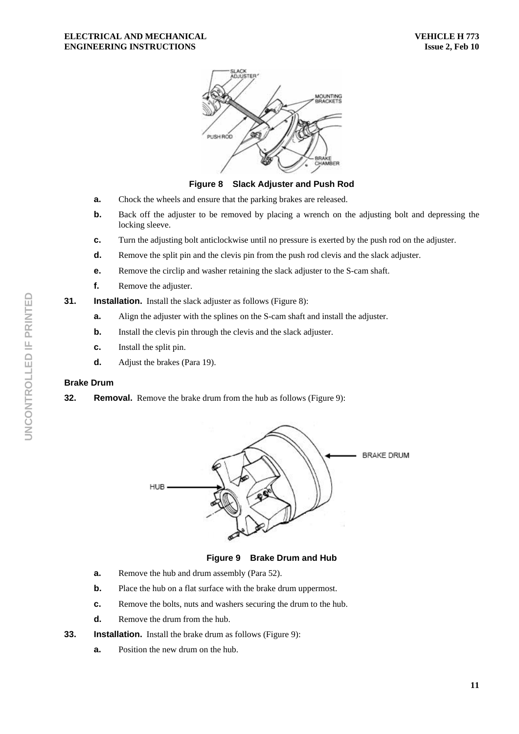

**Figure 8 Slack Adjuster and Push Rod** 

- **a.** Chock the wheels and ensure that the parking brakes are released.
- **b.** Back off the adjuster to be removed by placing a wrench on the adjusting bolt and depressing the locking sleeve.
- **c.** Turn the adjusting bolt anticlockwise until no pressure is exerted by the push rod on the adjuster.
- **d.** Remove the split pin and the clevis pin from the push rod clevis and the slack adjuster.
- **e.** Remove the circlip and washer retaining the slack adjuster to the S-cam shaft.
- **f.** Remove the adjuster.
- **31.** Installation. Install the slack adjuster as follows (Figure 8):
	- **a.** Align the adjuster with the splines on the S-cam shaft and install the adjuster.
	- **b.** Install the clevis pin through the clevis and the slack adjuster.
	- **c.** Install the split pin.
	- **d.** Adjust the brakes (Para 19).

# **Brake Drum**

**32.** Removal. Remove the brake drum from the hub as follows (Figure 9):



**Figure 9 Brake Drum and Hub** 

- **a.** Remove the hub and drum assembly (Para 52).
- **b.** Place the hub on a flat surface with the brake drum uppermost.
- **c.** Remove the bolts, nuts and washers securing the drum to the hub.
- **d.** Remove the drum from the hub.
- **33.** Installation. Install the brake drum as follows (Figure 9):
	- **a.** Position the new drum on the hub.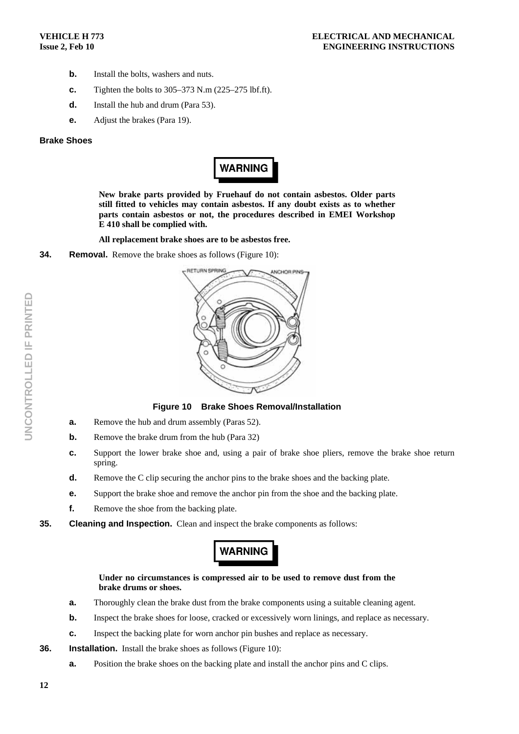- **b.** Install the bolts, washers and nuts.
- **c.** Tighten the bolts to 305–373 N.m (225–275 lbf.ft).
- **d.** Install the hub and drum (Para 53).
- **e.** Adjust the brakes (Para 19).

#### **Brake Shoes**



**New brake parts provided by Fruehauf do not contain asbestos. Older parts still fitted to vehicles may contain asbestos. If any doubt exists as to whether parts contain asbestos or not, the procedures described in EMEI Workshop E 410 shall be complied with.** 

**All replacement brake shoes are to be asbestos free.** 

**34.** Removal. Remove the brake shoes as follows (Figure 10):



**Figure 10 Brake Shoes Removal/Installation** 

- **a.** Remove the hub and drum assembly (Paras 52).
- **b.** Remove the brake drum from the hub (Para 32)
- **c.** Support the lower brake shoe and, using a pair of brake shoe pliers, remove the brake shoe return spring.
- **d.** Remove the C clip securing the anchor pins to the brake shoes and the backing plate.
- **e.** Support the brake shoe and remove the anchor pin from the shoe and the backing plate.
- **f.** Remove the shoe from the backing plate.
- **35. Cleaning and Inspection.** Clean and inspect the brake components as follows:

# **WARNING**

**Under no circumstances is compressed air to be used to remove dust from the brake drums or shoes.** 

- **a.** Thoroughly clean the brake dust from the brake components using a suitable cleaning agent.
- **b.** Inspect the brake shoes for loose, cracked or excessively worn linings, and replace as necessary.
- **c.** Inspect the backing plate for worn anchor pin bushes and replace as necessary.
- **36.** Installation. Install the brake shoes as follows (Figure 10):
	- **a.** Position the brake shoes on the backing plate and install the anchor pins and C clips.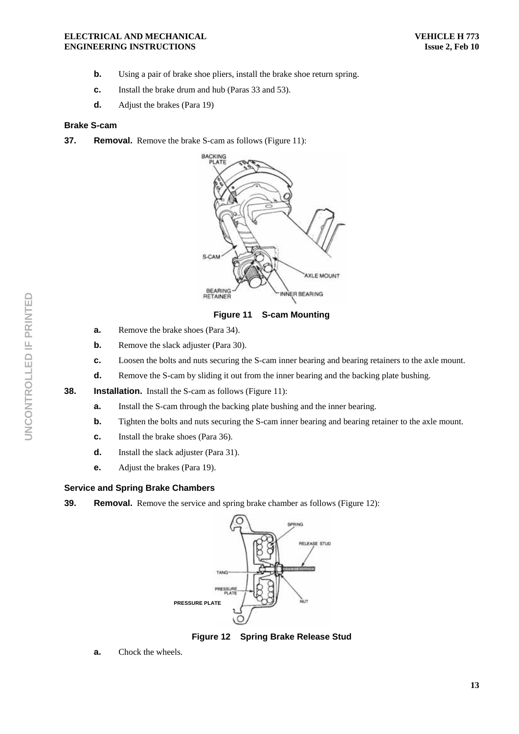#### **ELECTRICAL AND MECHANICAL ENGINEERING INSTRUCTIONS**

- **b.** Using a pair of brake shoe pliers, install the brake shoe return spring.
- **c.** Install the brake drum and hub (Paras 33 and 53).
- **d.** Adjust the brakes (Para 19)

#### **Brake S-cam**

**37.** Removal. Remove the brake S-cam as follows (Figure 11):



**Figure 11 S-cam Mounting** 

- **a.** Remove the brake shoes (Para 34).
- **b.** Remove the slack adjuster (Para 30).
- **c.** Loosen the bolts and nuts securing the S-cam inner bearing and bearing retainers to the axle mount.
- **d.** Remove the S-cam by sliding it out from the inner bearing and the backing plate bushing.
- **38.** Installation. Install the S-cam as follows (Figure 11):
	- **a.** Install the S-cam through the backing plate bushing and the inner bearing.
	- **b. Tighten the bolts and nuts securing the S-cam inner bearing and bearing retainer to the axle mount.**
	- **c.** Install the brake shoes (Para 36).
	- **d.** Install the slack adjuster (Para 31).
	- **e.** Adjust the brakes (Para 19).

#### **Service and Spring Brake Chambers**

**39.** Removal. Remove the service and spring brake chamber as follows (Figure 12):



**Figure 12 Spring Brake Release Stud** 

**a.** Chock the wheels.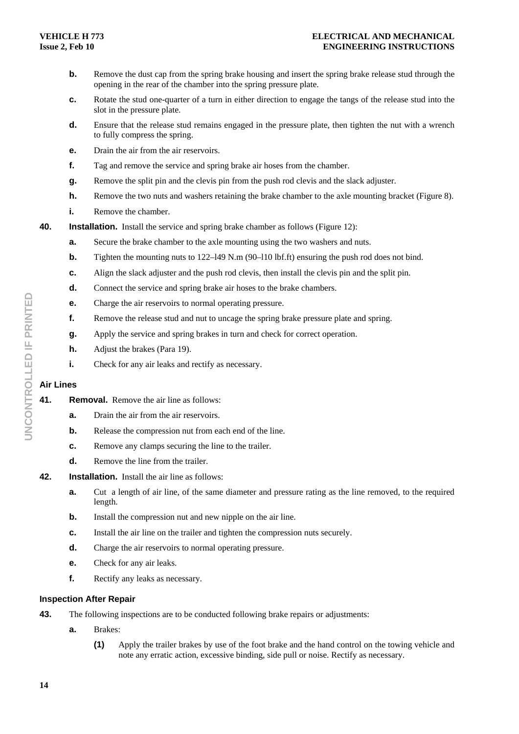- **b.** Remove the dust cap from the spring brake housing and insert the spring brake release stud through the opening in the rear of the chamber into the spring pressure plate.
- **c.** Rotate the stud one-quarter of a turn in either direction to engage the tangs of the release stud into the slot in the pressure plate.
- **d.** Ensure that the release stud remains engaged in the pressure plate, then tighten the nut with a wrench to fully compress the spring.
- **e.** Drain the air from the air reservoirs.
- **f.** Tag and remove the service and spring brake air hoses from the chamber.
- **g.** Remove the split pin and the clevis pin from the push rod clevis and the slack adjuster.
- **h.** Remove the two nuts and washers retaining the brake chamber to the axle mounting bracket (Figure 8).
- **i.** Remove the chamber.
- **40.** Installation. Install the service and spring brake chamber as follows (Figure 12):
	- **a.** Secure the brake chamber to the axle mounting using the two washers and nuts.
	- **b.** Tighten the mounting nuts to 122–149 N.m (90–110 lbf.ft) ensuring the push rod does not bind.
	- **c.** Align the slack adjuster and the push rod clevis, then install the clevis pin and the split pin.
	- **d.** Connect the service and spring brake air hoses to the brake chambers.
	- **e.** Charge the air reservoirs to normal operating pressure.
	- **f.** Remove the release stud and nut to uncage the spring brake pressure plate and spring.
	- **g.** Apply the service and spring brakes in turn and check for correct operation.
	- **h.** Adjust the brakes (Para 19).
	- **i.** Check for any air leaks and rectify as necessary.

# **Air Lines**

- **41. Removal.** Remove the air line as follows:
	- **a.** Drain the air from the air reservoirs.
	- **b.** Release the compression nut from each end of the line.
	- **c.** Remove any clamps securing the line to the trailer.
	- **d.** Remove the line from the trailer.
- **42. Installation.** Install the air line as follows:
	- **a.** Cut a length of air line, of the same diameter and pressure rating as the line removed, to the required length.
	- **b.** Install the compression nut and new nipple on the air line.
	- **c.** Install the air line on the trailer and tighten the compression nuts securely.
	- **d.** Charge the air reservoirs to normal operating pressure.
	- **e.** Check for any air leaks.
	- **f.** Rectify any leaks as necessary.

#### **Inspection After Repair**

- **43.** The following inspections are to be conducted following brake repairs or adjustments:
	- **a.** Brakes:
		- **(1)** Apply the trailer brakes by use of the foot brake and the hand control on the towing vehicle and note any erratic action, excessive binding, side pull or noise. Rectify as necessary.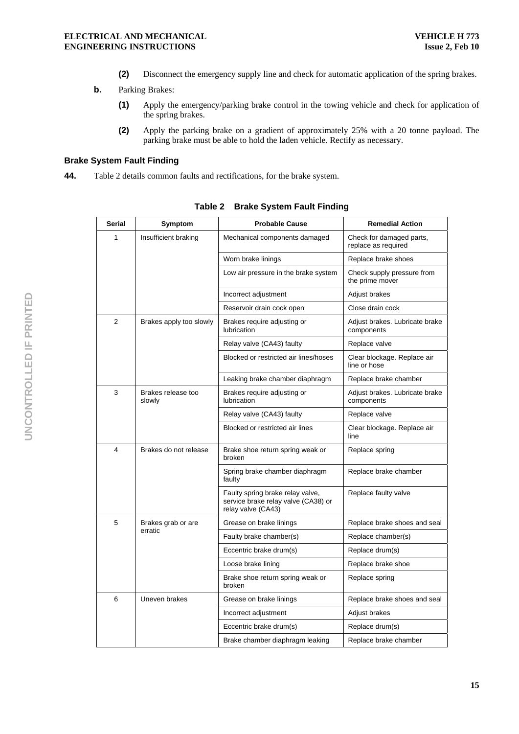- **(2)** Disconnect the emergency supply line and check for automatic application of the spring brakes.
- **b.** Parking Brakes:
	- **(1)** Apply the emergency/parking brake control in the towing vehicle and check for application of the spring brakes.
	- **(2)** Apply the parking brake on a gradient of approximately 25% with a 20 tonne payload. The parking brake must be able to hold the laden vehicle. Rectify as necessary.

# **Brake System Fault Finding**

**44.** Table 2 details common faults and rectifications, for the brake system.

| Serial         | Symptom                      | <b>Probable Cause</b>                                                                         | <b>Remedial Action</b>                          |
|----------------|------------------------------|-----------------------------------------------------------------------------------------------|-------------------------------------------------|
| 1              | Insufficient braking         | Mechanical components damaged                                                                 | Check for damaged parts,<br>replace as required |
|                |                              | Worn brake linings                                                                            | Replace brake shoes                             |
|                |                              | Low air pressure in the brake system                                                          | Check supply pressure from<br>the prime mover   |
|                |                              | Incorrect adjustment                                                                          | Adjust brakes                                   |
|                |                              | Reservoir drain cock open                                                                     | Close drain cock                                |
| $\overline{2}$ | Brakes apply too slowly      | Brakes require adjusting or<br>lubrication                                                    | Adjust brakes. Lubricate brake<br>components    |
|                |                              | Relay valve (CA43) faulty                                                                     | Replace valve                                   |
|                |                              | Blocked or restricted air lines/hoses                                                         | Clear blockage. Replace air<br>line or hose     |
|                |                              | Leaking brake chamber diaphragm                                                               | Replace brake chamber                           |
| 3              | Brakes release too<br>slowly | Brakes require adjusting or<br>lubrication                                                    | Adjust brakes. Lubricate brake<br>components    |
|                |                              | Relay valve (CA43) faulty                                                                     | Replace valve                                   |
|                |                              | Blocked or restricted air lines                                                               | Clear blockage. Replace air<br>line             |
| 4              | Brakes do not release        | Brake shoe return spring weak or<br>broken                                                    | Replace spring                                  |
|                |                              | Spring brake chamber diaphragm<br>faulty                                                      | Replace brake chamber                           |
|                |                              | Faulty spring brake relay valve,<br>service brake relay valve (CA38) or<br>relay valve (CA43) | Replace faulty valve                            |
| 5              | Brakes grab or are           | Grease on brake linings                                                                       | Replace brake shoes and seal                    |
|                | erratic                      | Faulty brake chamber(s)                                                                       | Replace chamber(s)                              |
|                |                              | Eccentric brake drum(s)                                                                       | Replace drum(s)                                 |
|                |                              | Loose brake lining                                                                            | Replace brake shoe                              |
|                |                              | Brake shoe return spring weak or<br>broken                                                    | Replace spring                                  |
| 6              | Uneven brakes                | Grease on brake linings                                                                       | Replace brake shoes and seal                    |
|                |                              | Incorrect adjustment                                                                          | Adjust brakes                                   |
|                |                              | Eccentric brake drum(s)                                                                       | Replace drum(s)                                 |
|                |                              | Brake chamber diaphragm leaking                                                               | Replace brake chamber                           |

**Table 2 Brake System Fault Finding**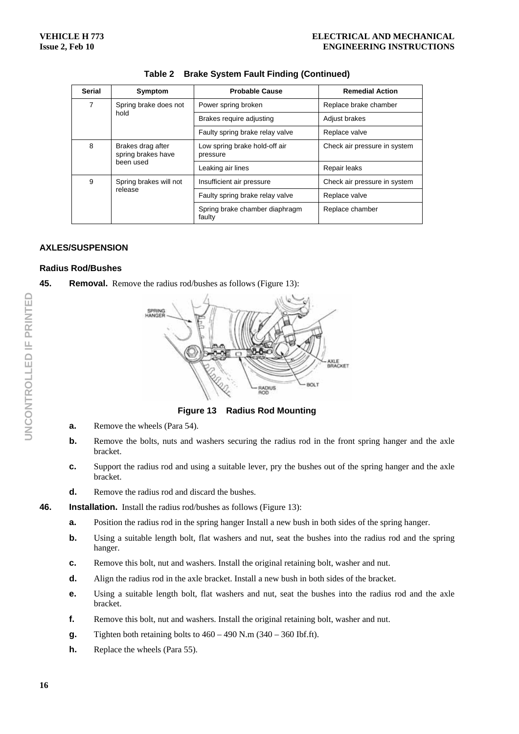| <b>Serial</b> | Symptom                                                                                           | <b>Probable Cause</b>                     | <b>Remedial Action</b>       |
|---------------|---------------------------------------------------------------------------------------------------|-------------------------------------------|------------------------------|
| 7             | Spring brake does not<br>hold                                                                     | Power spring broken                       | Replace brake chamber        |
|               |                                                                                                   | Brakes require adjusting                  | Adjust brakes                |
|               |                                                                                                   | Faulty spring brake relay valve           | Replace valve                |
| 8             | Brakes drag after<br>spring brakes have<br>been used                                              | Low spring brake hold-off air<br>pressure | Check air pressure in system |
|               |                                                                                                   | Leaking air lines                         | Repair leaks                 |
| 9             | Spring brakes will not<br>Insufficient air pressure<br>release<br>Faulty spring brake relay valve |                                           | Check air pressure in system |
|               |                                                                                                   | Replace valve                             |                              |
|               |                                                                                                   | Spring brake chamber diaphragm<br>faulty  | Replace chamber              |

# **Table 2 Brake System Fault Finding (Continued)**

# **AXLES/SUSPENSION**

# **Radius Rod/Bushes**

**45. Removal.** Remove the radius rod/bushes as follows (Figure 13):



**Figure 13 Radius Rod Mounting** 

- **a.** Remove the wheels (Para 54).
- **b.** Remove the bolts, nuts and washers securing the radius rod in the front spring hanger and the axle bracket.
- **c.** Support the radius rod and using a suitable lever, pry the bushes out of the spring hanger and the axle bracket.
- **d.** Remove the radius rod and discard the bushes.
- **46.** Installation. Install the radius rod/bushes as follows (Figure 13):
	- **a.** Position the radius rod in the spring hanger Install a new bush in both sides of the spring hanger.
	- **b.** Using a suitable length bolt, flat washers and nut, seat the bushes into the radius rod and the spring hanger.
	- **c.** Remove this bolt, nut and washers. Install the original retaining bolt, washer and nut.
	- **d.** Align the radius rod in the axle bracket. Install a new bush in both sides of the bracket.
	- **e.** Using a suitable length bolt, flat washers and nut, seat the bushes into the radius rod and the axle bracket.
	- **f.** Remove this bolt, nut and washers. Install the original retaining bolt, washer and nut.
	- **g.** Tighten both retaining bolts to  $460 490$  N.m  $(340 360$  Ibf.ft).
	- **h.** Replace the wheels (Para 55).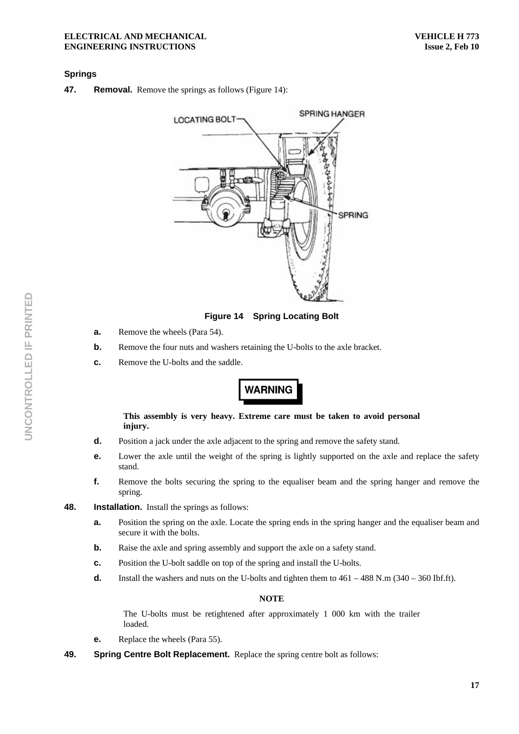#### **ELECTRICAL AND MECHANICAL ENGINEERING INSTRUCTIONS**

#### **Springs**

**47.** Removal. Remove the springs as follows (Figure 14):



**Figure 14 Spring Locating Bolt** 

- **a.** Remove the wheels (Para 54).
- **b.** Remove the four nuts and washers retaining the U-bolts to the axle bracket.
- **c.** Remove the U-bolts and the saddle.

# **WARNING**

**This assembly is very heavy. Extreme care must be taken to avoid personal injury.** 

- **d.** Position a jack under the axle adjacent to the spring and remove the safety stand.
- **e.** Lower the axle until the weight of the spring is lightly supported on the axle and replace the safety stand.
- **f.** Remove the bolts securing the spring to the equaliser beam and the spring hanger and remove the spring.
- **48. Installation.** Install the springs as follows:
	- **a.** Position the spring on the axle. Locate the spring ends in the spring hanger and the equaliser beam and secure it with the bolts.
	- **b.** Raise the axle and spring assembly and support the axle on a safety stand.
	- **c.** Position the U-bolt saddle on top of the spring and install the U-bolts.
	- **d.** Install the washers and nuts on the U-bolts and tighten them to  $461 488$  N.m  $(340 360$  Ibf.ft).

#### **NOTE**

The U-bolts must be retightened after approximately 1 000 km with the trailer loaded.

- **e.** Replace the wheels (Para 55).
- **49. Spring Centre Bolt Replacement.** Replace the spring centre bolt as follows: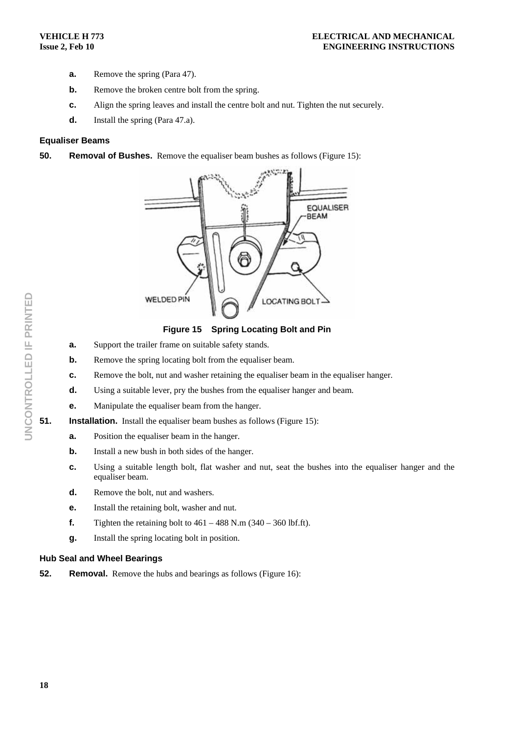- **a.** Remove the spring (Para 47).
- **b.** Remove the broken centre bolt from the spring.
- **c.** Align the spring leaves and install the centre bolt and nut. Tighten the nut securely.
- **d.** Install the spring (Para 47.a).

#### **Equaliser Beams**

**50.** Removal of Bushes. Remove the equaliser beam bushes as follows (Figure 15):



**Figure 15 Spring Locating Bolt and Pin** 

- **a.** Support the trailer frame on suitable safety stands.
- **b.** Remove the spring locating bolt from the equaliser beam.
- **c.** Remove the bolt, nut and washer retaining the equaliser beam in the equaliser hanger.
- **d.** Using a suitable lever, pry the bushes from the equaliser hanger and beam.
- **e.** Manipulate the equaliser beam from the hanger.
- **51.** Installation. Install the equaliser beam bushes as follows (Figure 15):
	- **a.** Position the equaliser beam in the hanger.
	- **b.** Install a new bush in both sides of the hanger.
	- **c.** Using a suitable length bolt, flat washer and nut, seat the bushes into the equaliser hanger and the equaliser beam.
	- **d.** Remove the bolt, nut and washers.
	- **e.** Install the retaining bolt, washer and nut.
	- **f.** Tighten the retaining bolt to  $461 488$  N.m  $(340 360$  lbf.ft).
	- **g.** Install the spring locating bolt in position.

# **Hub Seal and Wheel Bearings**

**52.** Removal. Remove the hubs and bearings as follows (Figure 16):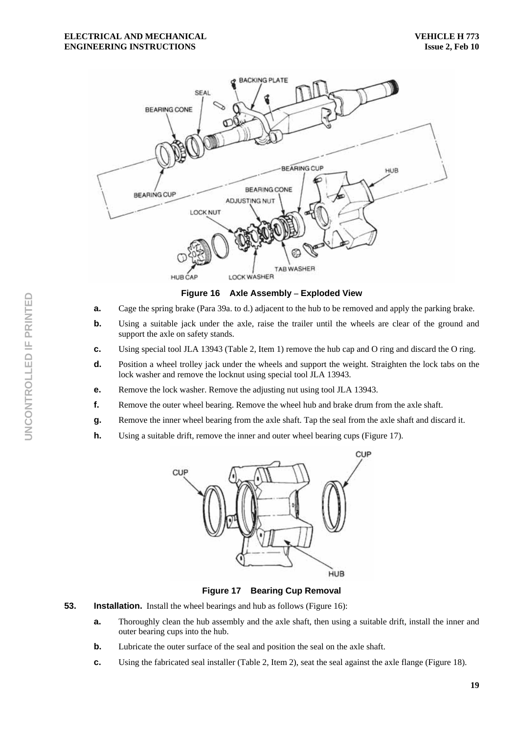

**Figure 16 Axle Assembly – Exploded View** 

- **a.** Cage the spring brake (Para 39a. to d.) adjacent to the hub to be removed and apply the parking brake.
- **b.** Using a suitable jack under the axle, raise the trailer until the wheels are clear of the ground and support the axle on safety stands.
- **c.** Using special tool JLA 13943 (Table 2, Item 1) remove the hub cap and O ring and discard the O ring.
- **d.** Position a wheel trolley jack under the wheels and support the weight. Straighten the lock tabs on the lock washer and remove the locknut using special tool JLA 13943.
- **e.** Remove the lock washer. Remove the adjusting nut using tool JLA 13943.
- **f.** Remove the outer wheel bearing. Remove the wheel hub and brake drum from the axle shaft.
- **g.** Remove the inner wheel bearing from the axle shaft. Tap the seal from the axle shaft and discard it.
- **h.** Using a suitable drift, remove the inner and outer wheel bearing cups (Figure 17).



**Figure 17 Bearing Cup Removal** 

- **53.** Installation. Install the wheel bearings and hub as follows (Figure 16):
	- **a.** Thoroughly clean the hub assembly and the axle shaft, then using a suitable drift, install the inner and outer bearing cups into the hub.
	- **b.** Lubricate the outer surface of the seal and position the seal on the axle shaft.
	- **c.** Using the fabricated seal installer (Table 2, Item 2), seat the seal against the axle flange (Figure 18).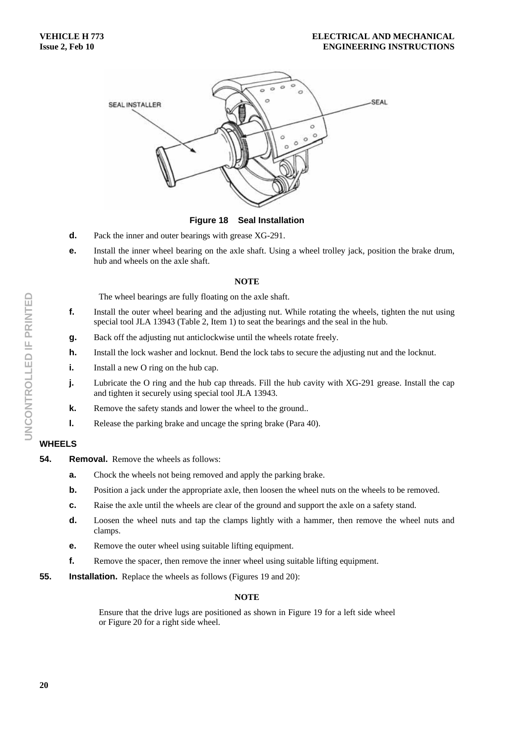

**Figure 18 Seal Installation** 

- **d.** Pack the inner and outer bearings with grease XG-291.
- **e.** Install the inner wheel bearing on the axle shaft. Using a wheel trolley jack, position the brake drum, hub and wheels on the axle shaft.

#### **NOTE**

The wheel bearings are fully floating on the axle shaft.

- **f.** Install the outer wheel bearing and the adjusting nut. While rotating the wheels, tighten the nut using special tool JLA 13943 (Table 2, Item 1) to seat the bearings and the seal in the hub.
- **g.** Back off the adjusting nut anticlockwise until the wheels rotate freely.
- **h.** Install the lock washer and locknut. Bend the lock tabs to secure the adjusting nut and the locknut.
- **i.** Install a new O ring on the hub cap.
- **j.** Lubricate the O ring and the hub cap threads. Fill the hub cavity with XG-291 grease. Install the cap and tighten it securely using special tool JLA 13943.
- **k.** Remove the safety stands and lower the wheel to the ground..
- **l.** Release the parking brake and uncage the spring brake (Para 40).

# **WHEELS**

- **54. Removal.** Remove the wheels as follows:
	- **a.** Chock the wheels not being removed and apply the parking brake.
	- **b.** Position a jack under the appropriate axle, then loosen the wheel nuts on the wheels to be removed.
	- **c.** Raise the axle until the wheels are clear of the ground and support the axle on a safety stand.
	- **d.** Loosen the wheel nuts and tap the clamps lightly with a hammer, then remove the wheel nuts and clamps.
	- **e.** Remove the outer wheel using suitable lifting equipment.
	- **f.** Remove the spacer, then remove the inner wheel using suitable lifting equipment.
- **55.** Installation. Replace the wheels as follows (Figures 19 and 20):

#### **NOTE**

Ensure that the drive lugs are positioned as shown in Figure 19 for a left side wheel or Figure 20 for a right side wheel.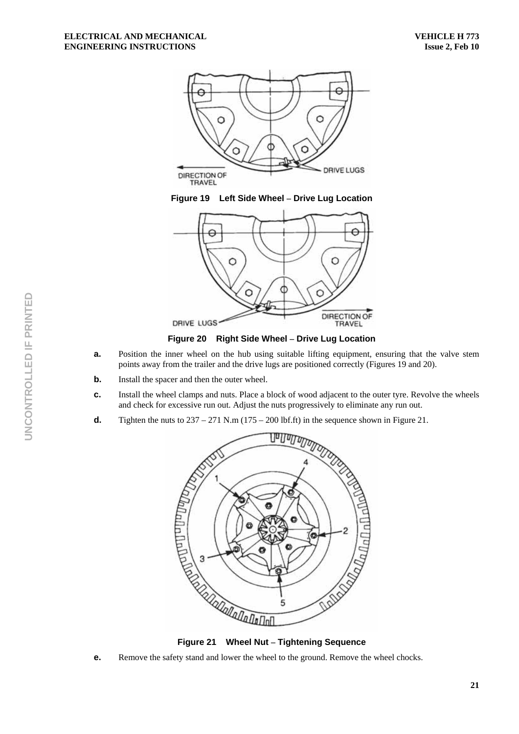





**Figure 20 Right Side Wheel – Drive Lug Location** 

- **a.** Position the inner wheel on the hub using suitable lifting equipment, ensuring that the valve stem points away from the trailer and the drive lugs are positioned correctly (Figures 19 and 20).
- **b.** Install the spacer and then the outer wheel.
- **c.** Install the wheel clamps and nuts. Place a block of wood adjacent to the outer tyre. Revolve the wheels and check for excessive run out. Adjust the nuts progressively to eliminate any run out.
- 



**e.** Remove the safety stand and lower the wheel to the ground. Remove the wheel chocks.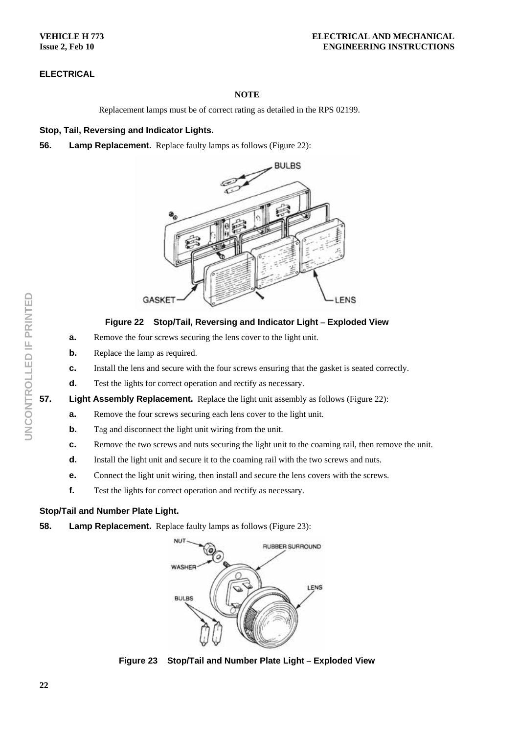**VEHICLE H 773 Issue 2, Feb 10** 

# **ELECTRICAL**

# **NOTE**

Replacement lamps must be of correct rating as detailed in the RPS 02199.

# **Stop, Tail, Reversing and Indicator Lights.**

# **56.** Lamp Replacement. Replace faulty lamps as follows (Figure 22):



# **Figure 22 Stop/Tail, Reversing and Indicator Light – Exploded View**

- **a.** Remove the four screws securing the lens cover to the light unit.
- **b.** Replace the lamp as required.
- **c.** Install the lens and secure with the four screws ensuring that the gasket is seated correctly.
- **d.** Test the lights for correct operation and rectify as necessary.
- **57.** Light Assembly Replacement. Replace the light unit assembly as follows (Figure 22):
	- **a.** Remove the four screws securing each lens cover to the light unit.
	- **b.** Tag and disconnect the light unit wiring from the unit.
	- **c.** Remove the two screws and nuts securing the light unit to the coaming rail, then remove the unit.
	- **d.** Install the light unit and secure it to the coaming rail with the two screws and nuts.
	- **e.** Connect the light unit wiring, then install and secure the lens covers with the screws.
	- **f.** Test the lights for correct operation and rectify as necessary.

# **Stop/Tail and Number Plate Light.**

**58.** Lamp Replacement. Replace faulty lamps as follows (Figure 23):



**Figure 23 Stop/Tail and Number Plate Light – Exploded View**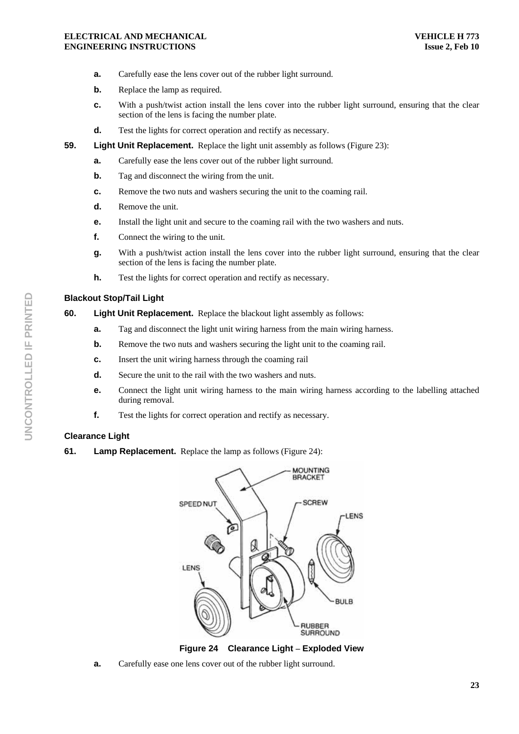#### **ELECTRICAL AND MECHANICAL ENGINEERING INSTRUCTIONS**

- **a.** Carefully ease the lens cover out of the rubber light surround.
- **b.** Replace the lamp as required.
- **c.** With a push/twist action install the lens cover into the rubber light surround, ensuring that the clear section of the lens is facing the number plate.
- **d.** Test the lights for correct operation and rectify as necessary.
- **59.** Light Unit Replacement. Replace the light unit assembly as follows (Figure 23):
	- **a.** Carefully ease the lens cover out of the rubber light surround.
	- **b.** Tag and disconnect the wiring from the unit.
	- **c.** Remove the two nuts and washers securing the unit to the coaming rail.
	- **d.** Remove the unit.
	- **e.** Install the light unit and secure to the coaming rail with the two washers and nuts.
	- **f.** Connect the wiring to the unit.
	- **g.** With a push/twist action install the lens cover into the rubber light surround, ensuring that the clear section of the lens is facing the number plate.
	- **h.** Test the lights for correct operation and rectify as necessary.

# **Blackout Stop/Tail Light**

#### **60. Light Unit Replacement.** Replace the blackout light assembly as follows:

- **a.** Tag and disconnect the light unit wiring harness from the main wiring harness.
- **b.** Remove the two nuts and washers securing the light unit to the coaming rail.
- **c.** Insert the unit wiring harness through the coaming rail
- **d.** Secure the unit to the rail with the two washers and nuts.
- **e.** Connect the light unit wiring harness to the main wiring harness according to the labelling attached during removal.
- **f.** Test the lights for correct operation and rectify as necessary.

# **Clearance Light**

**61. Lamp Replacement.** Replace the lamp as follows (Figure 24):



**Figure 24 Clearance Light – Exploded View** 

**a.** Carefully ease one lens cover out of the rubber light surround.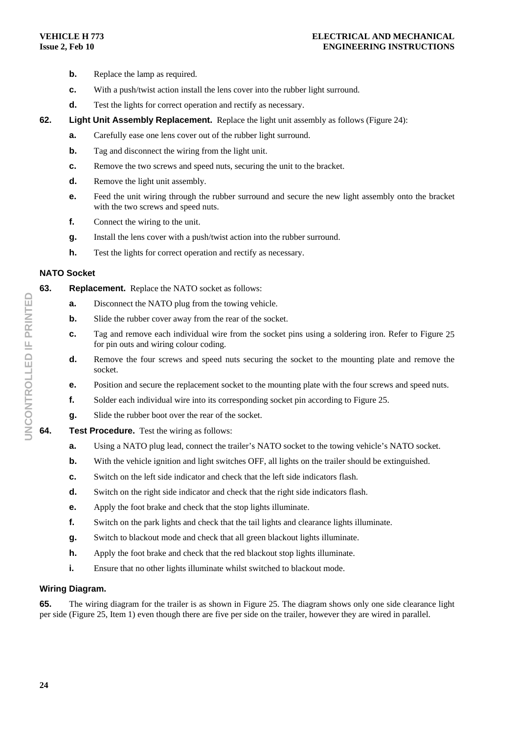- **b.** Replace the lamp as required.
- **c.** With a push/twist action install the lens cover into the rubber light surround.
- **d.** Test the lights for correct operation and rectify as necessary.
- **62.** Light Unit Assembly Replacement. Replace the light unit assembly as follows (Figure 24):
	- **a.** Carefully ease one lens cover out of the rubber light surround.
	- **b.** Tag and disconnect the wiring from the light unit.
	- **c.** Remove the two screws and speed nuts, securing the unit to the bracket.
	- **d.** Remove the light unit assembly.
	- **e.** Feed the unit wiring through the rubber surround and secure the new light assembly onto the bracket with the two screws and speed nuts.
	- **f.** Connect the wiring to the unit.
	- **g.** Install the lens cover with a push/twist action into the rubber surround.
	- **h.** Test the lights for correct operation and rectify as necessary.

#### **NATO Socket**

**63. Replacement.** Replace the NATO socket as follows:

- **a.** Disconnect the NATO plug from the towing vehicle.
- **b.** Slide the rubber cover away from the rear of the socket.
- **c.** Tag and remove each individual wire from the socket pins using a soldering iron. Refer to Figure 25 for pin outs and wiring colour coding.
- **d.** Remove the four screws and speed nuts securing the socket to the mounting plate and remove the socket.
- **e.** Position and secure the replacement socket to the mounting plate with the four screws and speed nuts.
- **f.** Solder each individual wire into its corresponding socket pin according to Figure 25.
- **g.** Slide the rubber boot over the rear of the socket.
- **64. Test Procedure.** Test the wiring as follows:
	- **a.** Using a NATO plug lead, connect the trailer's NATO socket to the towing vehicle's NATO socket.
	- **b.** With the vehicle ignition and light switches OFF, all lights on the trailer should be extinguished.
	- **c.** Switch on the left side indicator and check that the left side indicators flash.
	- **d.** Switch on the right side indicator and check that the right side indicators flash.
	- **e.** Apply the foot brake and check that the stop lights illuminate.
	- **f.** Switch on the park lights and check that the tail lights and clearance lights illuminate.
	- **g.** Switch to blackout mode and check that all green blackout lights illuminate.
	- **h.** Apply the foot brake and check that the red blackout stop lights illuminate.
	- **i.** Ensure that no other lights illuminate whilst switched to blackout mode.

#### **Wiring Diagram.**

**65.** The wiring diagram for the trailer is as shown in Figure 25. The diagram shows only one side clearance light per side (Figure 25, Item 1) even though there are five per side on the trailer, however they are wired in parallel.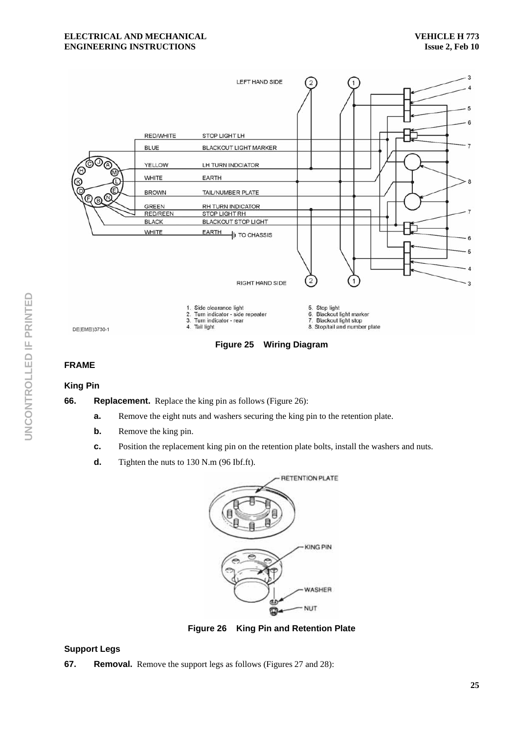

**Figure 25 Wiring Diagram** 

#### **FRAME**

#### **King Pin**

**66.** Replacement. Replace the king pin as follows (Figure 26):

- **a.** Remove the eight nuts and washers securing the king pin to the retention plate.
- **b.** Remove the king pin.
- **c.** Position the replacement king pin on the retention plate bolts, install the washers and nuts.
- **d.** Tighten the nuts to 130 N.m (96 Ibf.ft).



**Figure 26 King Pin and Retention Plate** 

# **Support Legs**

**67.** Removal. Remove the support legs as follows (Figures 27 and 28):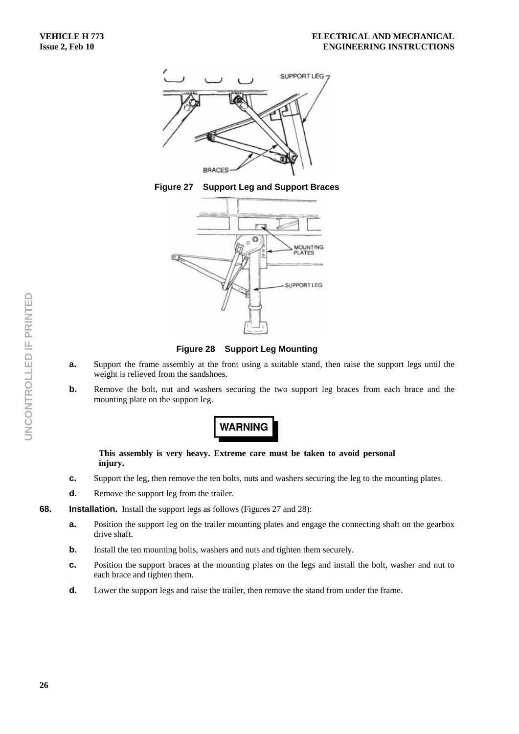

**Figure 27 Support Leg and Support Braces** 



**Figure 28 Support Leg Mounting** 

- **a.** Support the frame assembly at the front using a suitable stand, then raise the support legs until the weight is relieved from the sandshoes.
- **b.** Remove the bolt, nut and washers securing the two support leg braces from each brace and the mounting plate on the support leg.

# **WARNING**

#### **This assembly is very heavy. Extreme care must be taken to avoid personal injury.**

- **c.** Support the leg, then remove the ten bolts, nuts and washers securing the leg to the mounting plates.
- **d.** Remove the support leg from the trailer.
- **68. Installation.** Install the support legs as follows (Figures 27 and 28):
	- **a.** Position the support leg on the trailer mounting plates and engage the connecting shaft on the gearbox drive shaft.
	- **b.** Install the ten mounting bolts, washers and nuts and tighten them securely.
	- **c.** Position the support braces at the mounting plates on the legs and install the bolt, washer and nut to each brace and tighten them.
	- **d.** Lower the support legs and raise the trailer, then remove the stand from under the frame.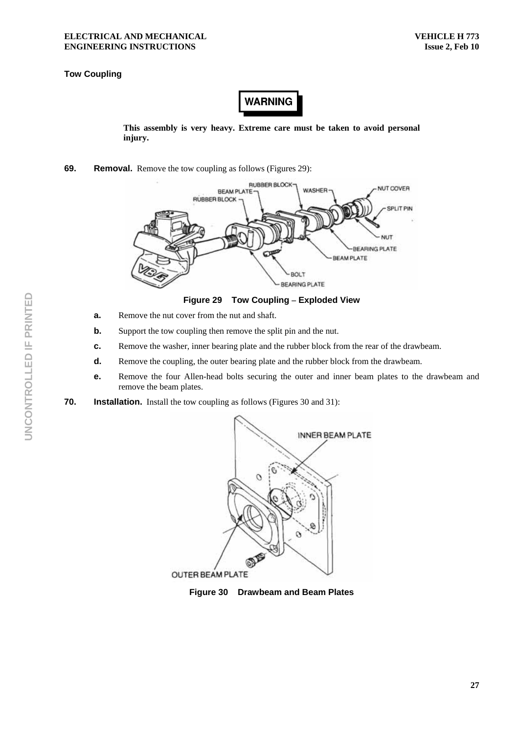# **Tow Coupling**

**WARNING** 

**This assembly is very heavy. Extreme care must be taken to avoid personal injury.** 

**69.** Removal. Remove the tow coupling as follows (Figures 29):



**Figure 29 Tow Coupling – Exploded View** 

- **a.** Remove the nut cover from the nut and shaft.
- **b.** Support the tow coupling then remove the split pin and the nut.
- **c.** Remove the washer, inner bearing plate and the rubber block from the rear of the drawbeam.
- **d.** Remove the coupling, the outer bearing plate and the rubber block from the drawbeam.
- **e.** Remove the four Allen-head bolts securing the outer and inner beam plates to the drawbeam and remove the beam plates.
- **70.** Installation. Install the tow coupling as follows (Figures 30 and 31):